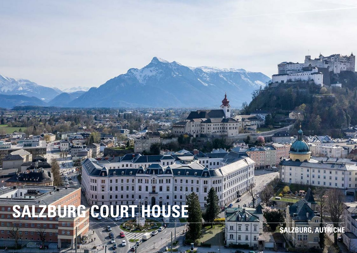## 1111 111 1 Ш **BGCOURT HOUSE**  $\mathbf{H}$ 出. 田田 **SALZBURG, AUTRICHE** 田田 irin,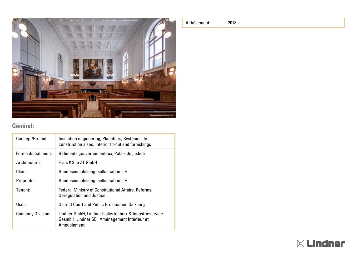

## **Général:**

| Concept/Produit:         | Insulation engineering, Planchers, Systèmes de<br>construction à sec, Interior fit-out and furnishings                  |
|--------------------------|-------------------------------------------------------------------------------------------------------------------------|
| Forme du bâtiment:       | Bâtiments gouvernementaux, Palais de justice                                                                            |
| Architecture:            | Franz&Sue ZT GmbH                                                                                                       |
| Client:                  | Bundesimmobiliengesellschaft m.b.H.                                                                                     |
| Proprietor:              | Bundesimmobiliengesellschaft m.b.H.                                                                                     |
| Tenant:                  | <b>Federal Ministry of Constitutional Affairs, Reforms,</b><br>Deregulation and Justice                                 |
| User:                    | <b>District Court and Public Prosecution Salzburg</b>                                                                   |
| <b>Company Division:</b> | Lindner GmbH, Lindner Isoliertechnik & Industrieservice<br>GesmbH, Lindner SE   Aménagement Intérieur et<br>Ameublement |

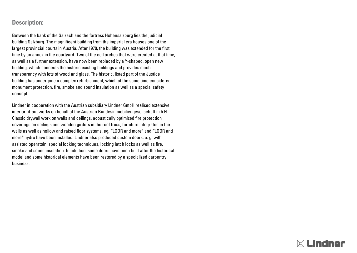## **Description:**

Between the bank of the Salzach and the fortress Hohensalzburg lies the judicial building Salzburg. The magnificent building from the imperial era houses one of the largest provincial courts in Austria. After 1970, the building was extended for the first time by an annex in the courtyard. Two of the cell arches that were created at that time, as well as a further extension, have now been replaced by a Y-shaped, open new building, which connects the historic existing buildings and provides much transparency with lots of wood and glass. The historic, listed part of the Justice building has undergone a complex refurbishment, which at the same time considered monument protection, fire, smoke and sound insulation as well as a special safety concept.

Lindner in cooperation with the Austrian subsidiary Lindner GmbH realised extensive interior fit-out works on behalf of the Austrian Bundesimmobiliengesellschaft m.b.H. Classic drywall work on walls and ceilings, acoustically optimized fire protection coverings on ceilings and wooden girders in the roof truss, furniture integrated in the walls as well as hollow and raised floor systems, eg. FLOOR and more® and FLOOR and more® hydro have been installed. Lindner also produced custom doors, e. g. with assisted operatoin, special locking techniques, locking latch locks as well as fire, smoke and sound insulation. In addition, some doors have been built after the historical model and some historical elements have been restored by a specialized carpentry business.

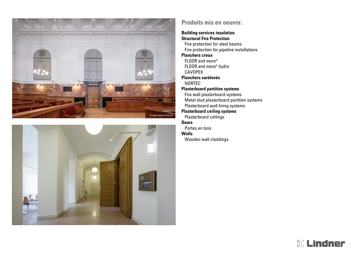



## **Produits mis en oeuvre:**

**Building services insulation Structural Fire Protection** Fire protection for steel beams Fire protection for pipeline installations **Planchers creux** FLOOR and more® FLOOR and more® hydro CAVOPEX **Planchers surélevés** NORTEC **Plasterboard partition systems** Fire wall plasterboard systems Metal stud plasterboard partition systems Plasterboard wall lining systems **Plasterboard ceiling systems** Plasterboard ceilings **Doors** Portes en bois **Walls** Wooden wall claddings

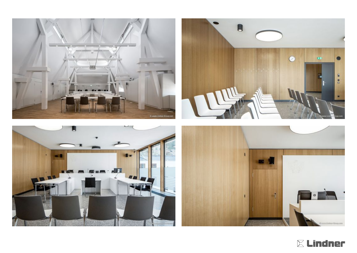

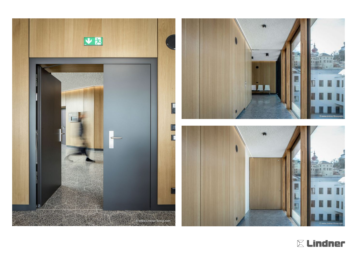





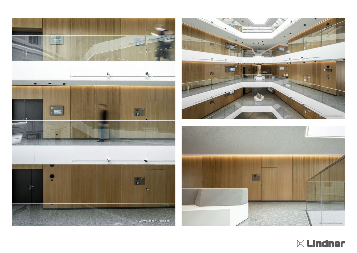



 $\odot$  www.Lindner-Group.com





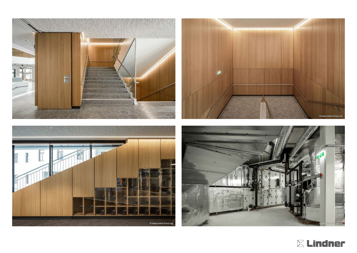